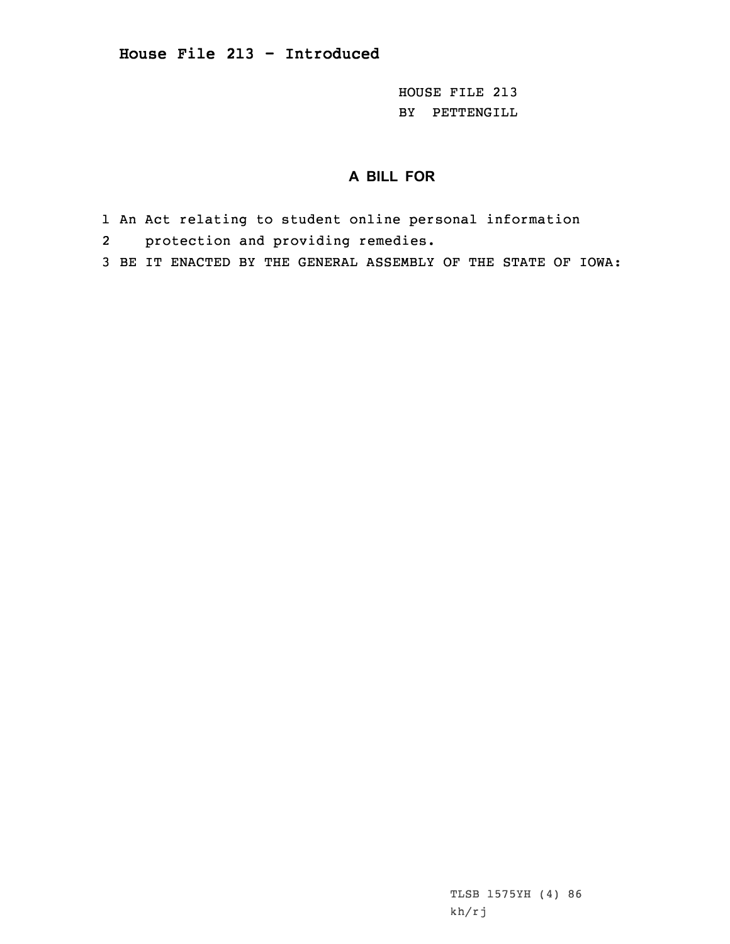HOUSE FILE 213 BY PETTENGILL

## **A BILL FOR**

- 1 An Act relating to student online personal information
- 2 protection and providing remedies.
- 3 BE IT ENACTED BY THE GENERAL ASSEMBLY OF THE STATE OF IOWA:

TLSB 1575YH (4) 86 kh/rj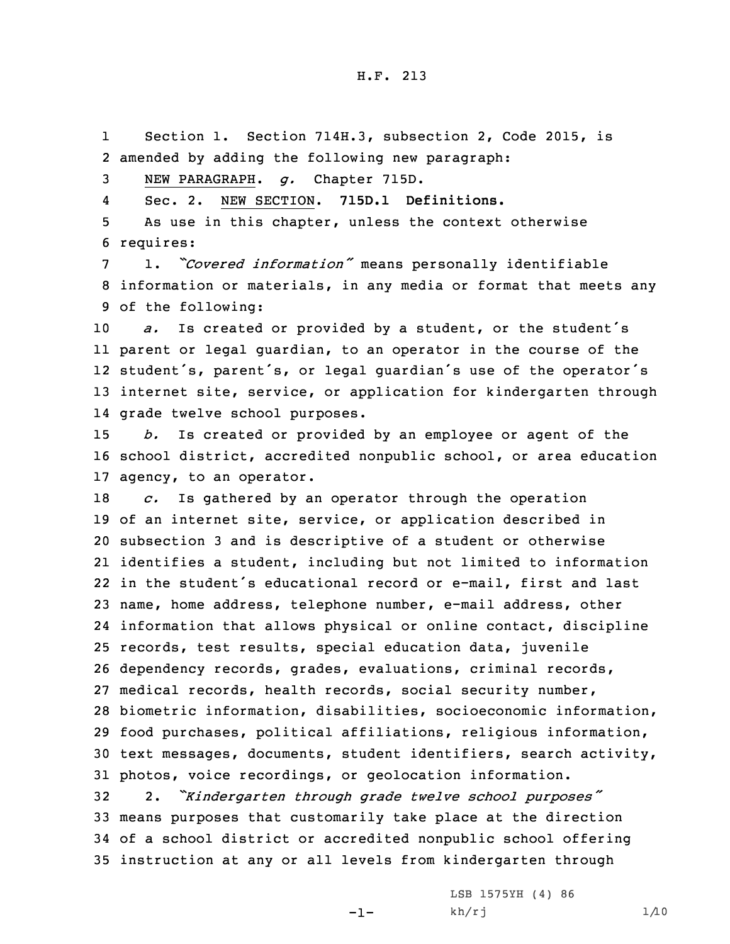1 Section 1. Section 714H.3, subsection 2, Code 2015, is 2 amended by adding the following new paragraph:

3 NEW PARAGRAPH. *g.* Chapter 715D.

4Sec. 2. NEW SECTION. **715D.1 Definitions.**

5 As use in this chapter, unless the context otherwise 6 requires:

<sup>7</sup> 1. *"Covered information"* means personally identifiable 8 information or materials, in any media or format that meets any 9 of the following:

 *a.* Is created or provided by <sup>a</sup> student, or the student's parent or legal guardian, to an operator in the course of the student's, parent's, or legal guardian's use of the operator's internet site, service, or application for kindergarten through grade twelve school purposes.

15 *b.* Is created or provided by an employee or agent of the 16 school district, accredited nonpublic school, or area education 17 agency, to an operator.

 *c.* Is gathered by an operator through the operation of an internet site, service, or application described in subsection 3 and is descriptive of <sup>a</sup> student or otherwise identifies <sup>a</sup> student, including but not limited to information in the student's educational record or e-mail, first and last name, home address, telephone number, e-mail address, other information that allows physical or online contact, discipline records, test results, special education data, juvenile dependency records, grades, evaluations, criminal records, medical records, health records, social security number, biometric information, disabilities, socioeconomic information, food purchases, political affiliations, religious information, text messages, documents, student identifiers, search activity, photos, voice recordings, or geolocation information.

 2. *"Kindergarten through grade twelve school purposes"* means purposes that customarily take place at the direction of <sup>a</sup> school district or accredited nonpublic school offering instruction at any or all levels from kindergarten through

-1-

LSB 1575YH (4) 86 kh/rj 1/10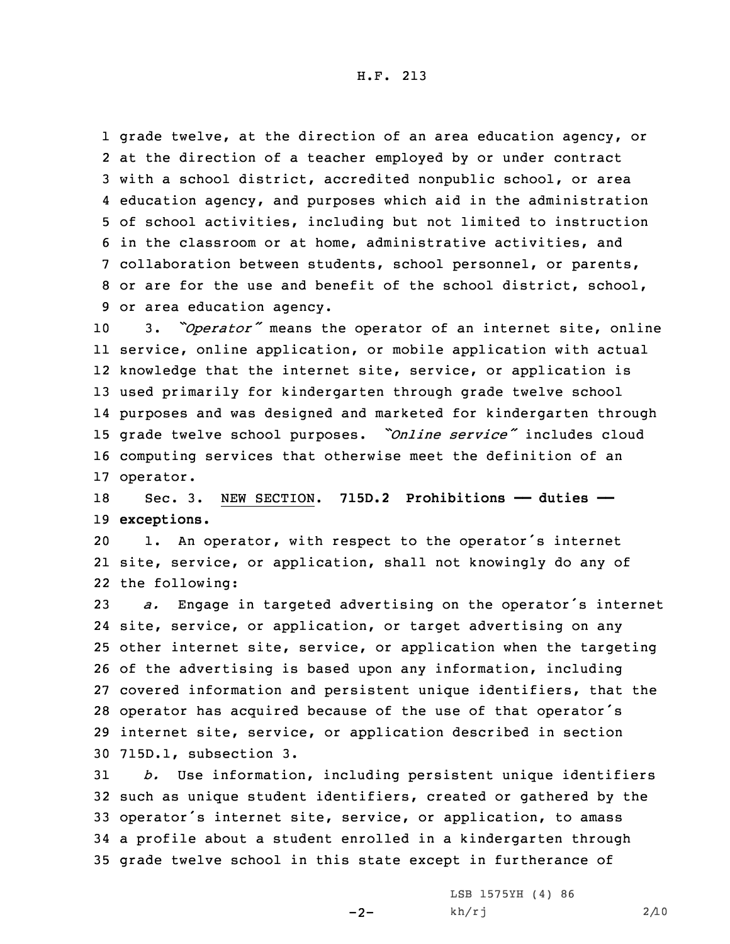grade twelve, at the direction of an area education agency, or at the direction of <sup>a</sup> teacher employed by or under contract with <sup>a</sup> school district, accredited nonpublic school, or area education agency, and purposes which aid in the administration of school activities, including but not limited to instruction in the classroom or at home, administrative activities, and collaboration between students, school personnel, or parents, or are for the use and benefit of the school district, school, or area education agency.

 3. *"Operator"* means the operator of an internet site, online service, online application, or mobile application with actual knowledge that the internet site, service, or application is used primarily for kindergarten through grade twelve school purposes and was designed and marketed for kindergarten through grade twelve school purposes. *"Online service"* includes cloud computing services that otherwise meet the definition of an operator.

18 Sec. 3. NEW SECTION. **715D.2 Prohibitions —— duties ——** 19 **exceptions.**

<sup>20</sup> 1. An operator, with respect to the operator's internet 21 site, service, or application, shall not knowingly do any of 22 the following:

 *a.* Engage in targeted advertising on the operator's internet site, service, or application, or target advertising on any other internet site, service, or application when the targeting of the advertising is based upon any information, including covered information and persistent unique identifiers, that the operator has acquired because of the use of that operator's internet site, service, or application described in section 715D.1, subsection 3.

 *b.* Use information, including persistent unique identifiers such as unique student identifiers, created or gathered by the operator's internet site, service, or application, to amass <sup>a</sup> profile about <sup>a</sup> student enrolled in <sup>a</sup> kindergarten through grade twelve school in this state except in furtherance of

 $-2-$ 

LSB 1575YH (4) 86 kh/rj 2/10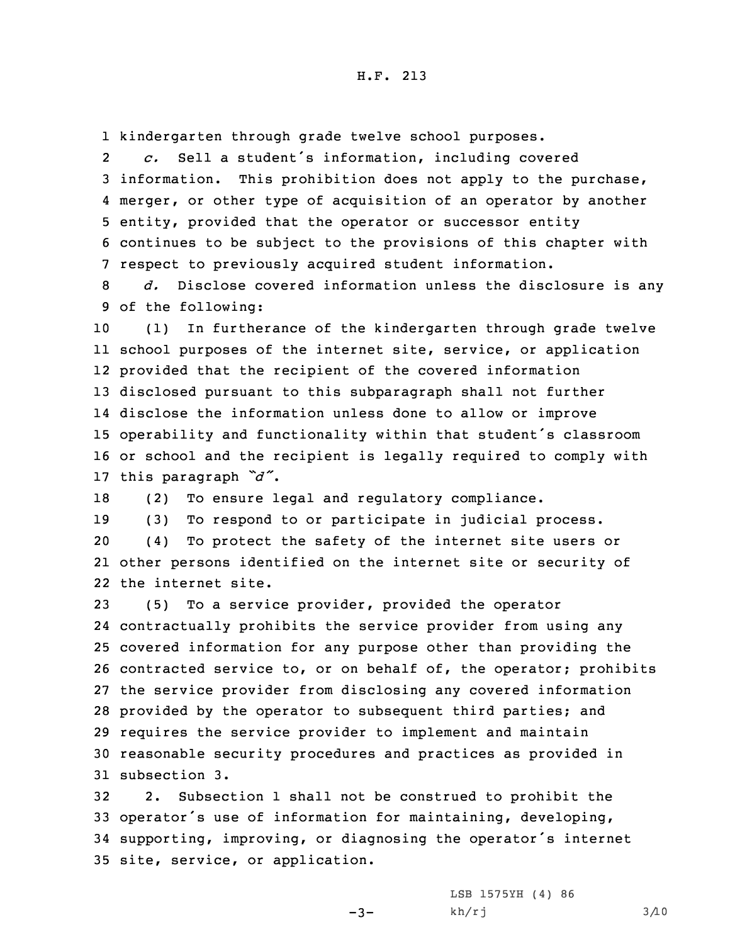1 kindergarten through grade twelve school purposes.

2 *c.* Sell <sup>a</sup> student's information, including covered information. This prohibition does not apply to the purchase, merger, or other type of acquisition of an operator by another entity, provided that the operator or successor entity continues to be subject to the provisions of this chapter with respect to previously acquired student information.

8 *d.* Disclose covered information unless the disclosure is any 9 of the following:

 (1) In furtherance of the kindergarten through grade twelve school purposes of the internet site, service, or application provided that the recipient of the covered information disclosed pursuant to this subparagraph shall not further disclose the information unless done to allow or improve operability and functionality within that student's classroom or school and the recipient is legally required to comply with this paragraph *"d"*.

18 (2) To ensure legal and regulatory compliance.

19 (3) To respond to or participate in judicial process.

20 (4) To protect the safety of the internet site users or 21 other persons identified on the internet site or security of 22 the internet site.

 (5) To <sup>a</sup> service provider, provided the operator contractually prohibits the service provider from using any covered information for any purpose other than providing the contracted service to, or on behalf of, the operator; prohibits the service provider from disclosing any covered information provided by the operator to subsequent third parties; and requires the service provider to implement and maintain reasonable security procedures and practices as provided in subsection 3.

 2. Subsection 1 shall not be construed to prohibit the operator's use of information for maintaining, developing, supporting, improving, or diagnosing the operator's internet site, service, or application.

 $-3-$ 

LSB 1575YH (4) 86 kh/rj 3/10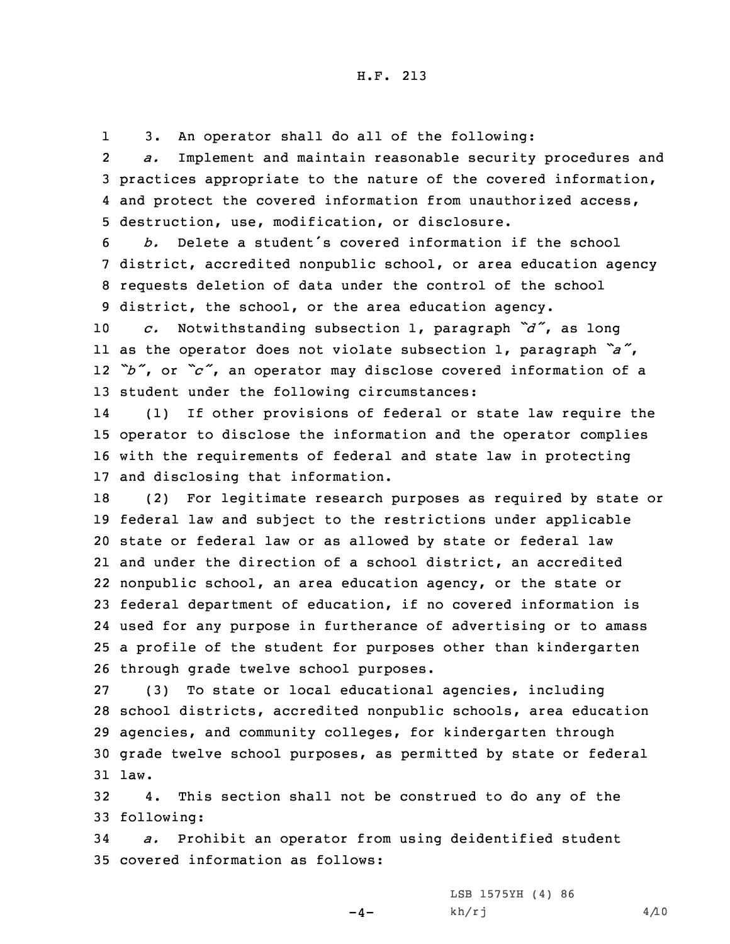13. An operator shall do all of the following:

2 *a.* Implement and maintain reasonable security procedures and 3 practices appropriate to the nature of the covered information, 4 and protect the covered information from unauthorized access, 5 destruction, use, modification, or disclosure.

 *b.* Delete <sup>a</sup> student's covered information if the school district, accredited nonpublic school, or area education agency requests deletion of data under the control of the school district, the school, or the area education agency.

 *c.* Notwithstanding subsection 1, paragraph *"d"*, as long as the operator does not violate subsection 1, paragraph *"a"*, *"b"*, or *"c"*, an operator may disclose covered information of <sup>a</sup> student under the following circumstances:

14 (1) If other provisions of federal or state law require the 15 operator to disclose the information and the operator complies 16 with the requirements of federal and state law in protecting 17 and disclosing that information.

 (2) For legitimate research purposes as required by state or federal law and subject to the restrictions under applicable state or federal law or as allowed by state or federal law and under the direction of <sup>a</sup> school district, an accredited nonpublic school, an area education agency, or the state or federal department of education, if no covered information is used for any purpose in furtherance of advertising or to amass <sup>a</sup> profile of the student for purposes other than kindergarten through grade twelve school purposes.

 (3) To state or local educational agencies, including school districts, accredited nonpublic schools, area education agencies, and community colleges, for kindergarten through grade twelve school purposes, as permitted by state or federal 31 law.

32 4. This section shall not be construed to do any of the 33 following:

34 *a.* Prohibit an operator from using deidentified student 35 covered information as follows:

 $-4-$ 

LSB 1575YH (4) 86  $kh/rj$  4/10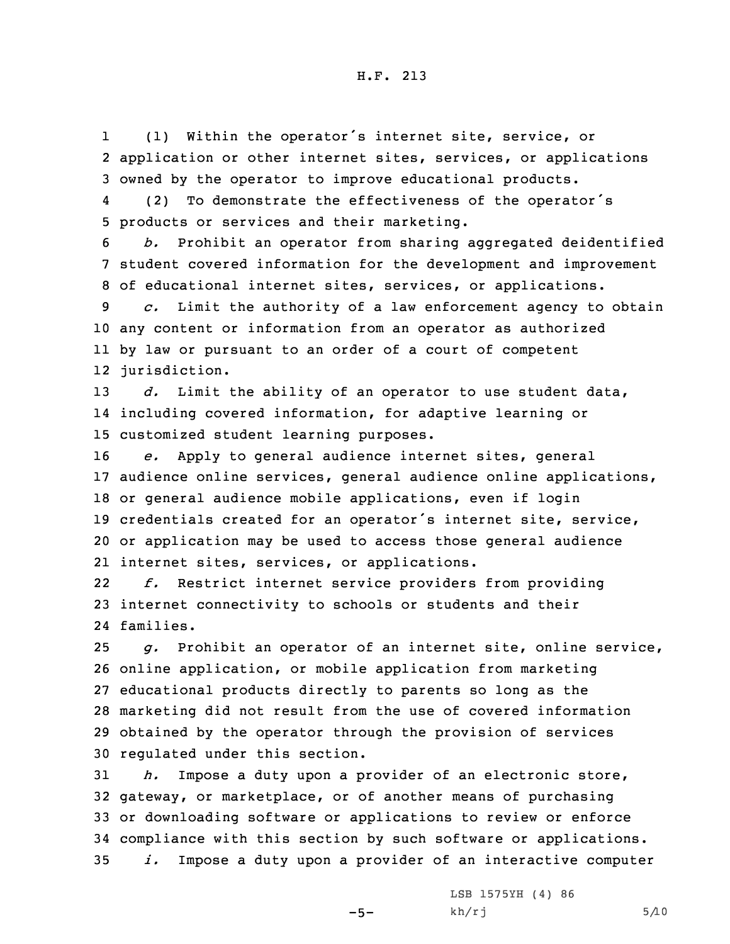1 (1) Within the operator's internet site, service, or 2 application or other internet sites, services, or applications 3 owned by the operator to improve educational products.

4 (2) To demonstrate the effectiveness of the operator's 5 products or services and their marketing.

6 *b.* Prohibit an operator from sharing aggregated deidentified 7 student covered information for the development and improvement 8 of educational internet sites, services, or applications.

 *c.* Limit the authority of <sup>a</sup> law enforcement agency to obtain any content or information from an operator as authorized by law or pursuant to an order of <sup>a</sup> court of competent jurisdiction.

13 *d.* Limit the ability of an operator to use student data, 14 including covered information, for adaptive learning or 15 customized student learning purposes.

 *e.* Apply to general audience internet sites, general audience online services, general audience online applications, or general audience mobile applications, even if login credentials created for an operator's internet site, service, or application may be used to access those general audience internet sites, services, or applications.

22 *f.* Restrict internet service providers from providing 23 internet connectivity to schools or students and their 24 families.

 *g.* Prohibit an operator of an internet site, online service, online application, or mobile application from marketing educational products directly to parents so long as the marketing did not result from the use of covered information obtained by the operator through the provision of services regulated under this section.

 *h.* Impose <sup>a</sup> duty upon <sup>a</sup> provider of an electronic store, gateway, or marketplace, or of another means of purchasing or downloading software or applications to review or enforce compliance with this section by such software or applications. *i.* Impose <sup>a</sup> duty upon <sup>a</sup> provider of an interactive computer

 $-5-$ 

LSB 1575YH (4) 86  $kh/rj$  5/10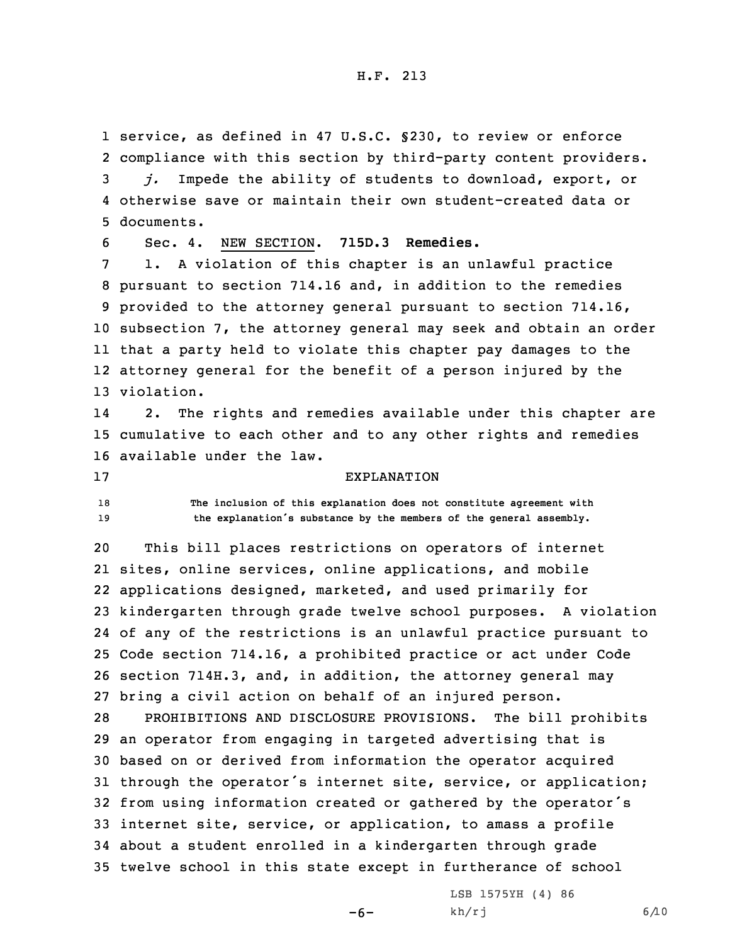service, as defined in 47 U.S.C. §230, to review or enforce compliance with this section by third-party content providers. *j.* Impede the ability of students to download, export, or otherwise save or maintain their own student-created data or documents.

6 Sec. 4. NEW SECTION. **715D.3 Remedies.**

 1. <sup>A</sup> violation of this chapter is an unlawful practice pursuant to section 714.16 and, in addition to the remedies provided to the attorney general pursuant to section 714.16, subsection 7, the attorney general may seek and obtain an order that <sup>a</sup> party held to violate this chapter pay damages to the attorney general for the benefit of <sup>a</sup> person injured by the violation.

14 2. The rights and remedies available under this chapter are 15 cumulative to each other and to any other rights and remedies 16 available under the law.

## 17 EXPLANATION

18 **The inclusion of this explanation does not constitute agreement with** <sup>19</sup> **the explanation's substance by the members of the general assembly.**

 This bill places restrictions on operators of internet sites, online services, online applications, and mobile applications designed, marketed, and used primarily for kindergarten through grade twelve school purposes. <sup>A</sup> violation of any of the restrictions is an unlawful practice pursuant to Code section 714.16, <sup>a</sup> prohibited practice or act under Code section 714H.3, and, in addition, the attorney general may bring <sup>a</sup> civil action on behalf of an injured person.

 PROHIBITIONS AND DISCLOSURE PROVISIONS. The bill prohibits an operator from engaging in targeted advertising that is based on or derived from information the operator acquired through the operator's internet site, service, or application; from using information created or gathered by the operator's internet site, service, or application, to amass <sup>a</sup> profile about <sup>a</sup> student enrolled in <sup>a</sup> kindergarten through grade twelve school in this state except in furtherance of school

 $-6-$ 

LSB 1575YH (4) 86  $kh/rj$  6/10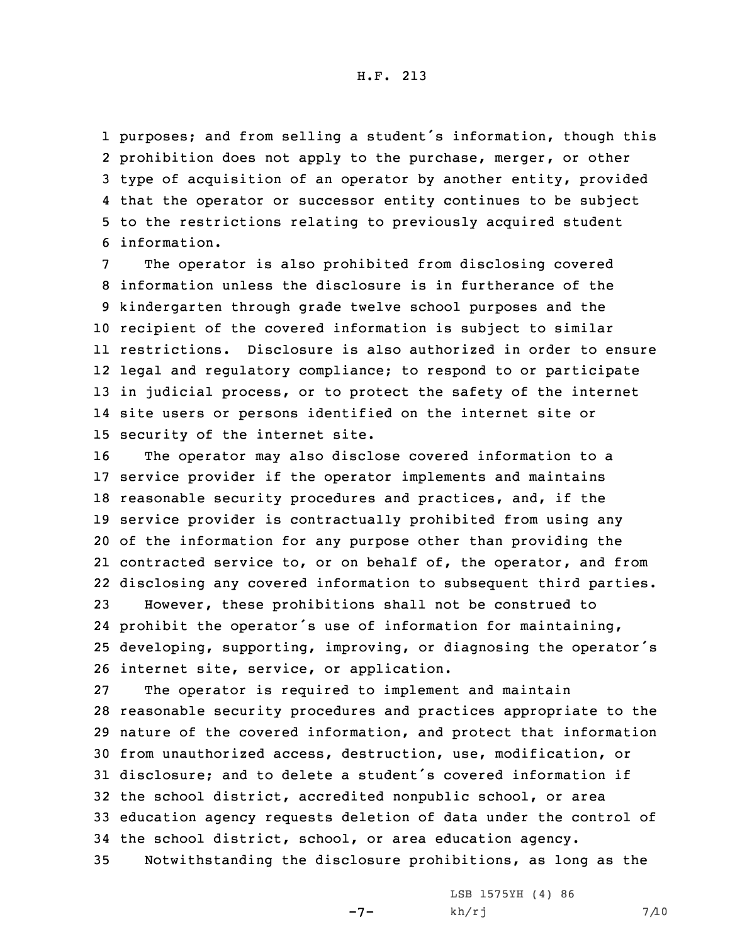purposes; and from selling <sup>a</sup> student's information, though this prohibition does not apply to the purchase, merger, or other type of acquisition of an operator by another entity, provided that the operator or successor entity continues to be subject to the restrictions relating to previously acquired student information.

The operator is also prohibited from disclosing covered information unless the disclosure is in furtherance of the kindergarten through grade twelve school purposes and the recipient of the covered information is subject to similar restrictions. Disclosure is also authorized in order to ensure legal and regulatory compliance; to respond to or participate in judicial process, or to protect the safety of the internet site users or persons identified on the internet site or security of the internet site.

 The operator may also disclose covered information to <sup>a</sup> service provider if the operator implements and maintains reasonable security procedures and practices, and, if the service provider is contractually prohibited from using any of the information for any purpose other than providing the contracted service to, or on behalf of, the operator, and from disclosing any covered information to subsequent third parties.

 However, these prohibitions shall not be construed to prohibit the operator's use of information for maintaining, developing, supporting, improving, or diagnosing the operator's internet site, service, or application.

 The operator is required to implement and maintain reasonable security procedures and practices appropriate to the nature of the covered information, and protect that information from unauthorized access, destruction, use, modification, or disclosure; and to delete <sup>a</sup> student's covered information if the school district, accredited nonpublic school, or area education agency requests deletion of data under the control of the school district, school, or area education agency. Notwithstanding the disclosure prohibitions, as long as the

-7-

LSB 1575YH (4) 86  $kh/rj$  7/10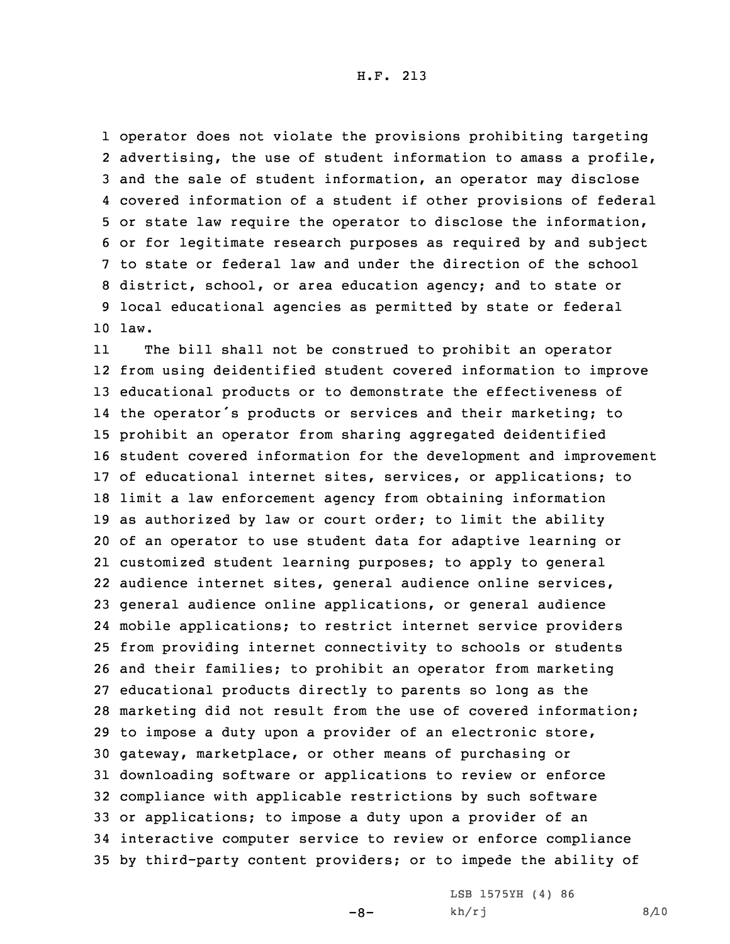operator does not violate the provisions prohibiting targeting advertising, the use of student information to amass <sup>a</sup> profile, and the sale of student information, an operator may disclose covered information of <sup>a</sup> student if other provisions of federal or state law require the operator to disclose the information, or for legitimate research purposes as required by and subject to state or federal law and under the direction of the school district, school, or area education agency; and to state or local educational agencies as permitted by state or federal 10 law.

11 The bill shall not be construed to prohibit an operator from using deidentified student covered information to improve educational products or to demonstrate the effectiveness of the operator's products or services and their marketing; to prohibit an operator from sharing aggregated deidentified student covered information for the development and improvement of educational internet sites, services, or applications; to limit <sup>a</sup> law enforcement agency from obtaining information as authorized by law or court order; to limit the ability of an operator to use student data for adaptive learning or customized student learning purposes; to apply to general audience internet sites, general audience online services, general audience online applications, or general audience mobile applications; to restrict internet service providers from providing internet connectivity to schools or students and their families; to prohibit an operator from marketing educational products directly to parents so long as the marketing did not result from the use of covered information; to impose <sup>a</sup> duty upon <sup>a</sup> provider of an electronic store, gateway, marketplace, or other means of purchasing or downloading software or applications to review or enforce compliance with applicable restrictions by such software or applications; to impose <sup>a</sup> duty upon <sup>a</sup> provider of an interactive computer service to review or enforce compliance by third-party content providers; or to impede the ability of

 $-8-$ 

LSB 1575YH (4) 86  $kh/rj$  8/10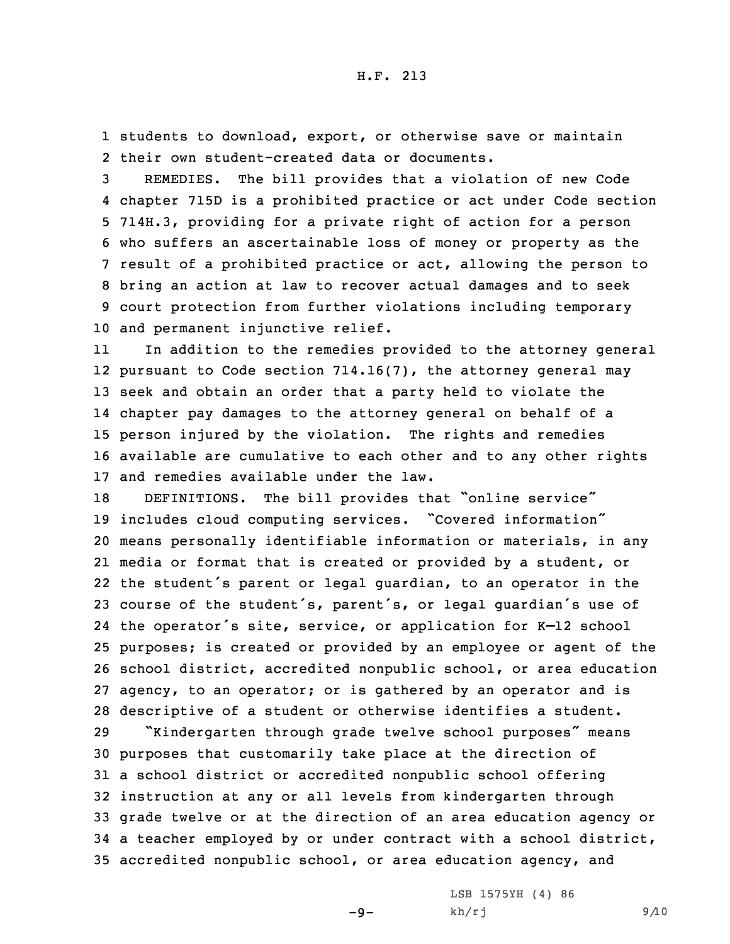1 students to download, export, or otherwise save or maintain 2 their own student-created data or documents.

 REMEDIES. The bill provides that <sup>a</sup> violation of new Code chapter 715D is <sup>a</sup> prohibited practice or act under Code section 714H.3, providing for <sup>a</sup> private right of action for <sup>a</sup> person who suffers an ascertainable loss of money or property as the result of <sup>a</sup> prohibited practice or act, allowing the person to bring an action at law to recover actual damages and to seek court protection from further violations including temporary and permanent injunctive relief.

11 In addition to the remedies provided to the attorney general pursuant to Code section 714.16(7), the attorney general may seek and obtain an order that <sup>a</sup> party held to violate the chapter pay damages to the attorney general on behalf of <sup>a</sup> person injured by the violation. The rights and remedies available are cumulative to each other and to any other rights and remedies available under the law.

 DEFINITIONS. The bill provides that "online service" includes cloud computing services. "Covered information" means personally identifiable information or materials, in any media or format that is created or provided by <sup>a</sup> student, or the student's parent or legal guardian, to an operator in the course of the student's, parent's, or legal guardian's use of the operator's site, service, or application for K–12 school purposes; is created or provided by an employee or agent of the school district, accredited nonpublic school, or area education agency, to an operator; or is gathered by an operator and is descriptive of <sup>a</sup> student or otherwise identifies <sup>a</sup> student.

 "Kindergarten through grade twelve school purposes" means purposes that customarily take place at the direction of <sup>a</sup> school district or accredited nonpublic school offering instruction at any or all levels from kindergarten through grade twelve or at the direction of an area education agency or <sup>a</sup> teacher employed by or under contract with <sup>a</sup> school district, accredited nonpublic school, or area education agency, and

 $-9-$ 

LSB 1575YH (4) 86  $kh/rj$  9/10